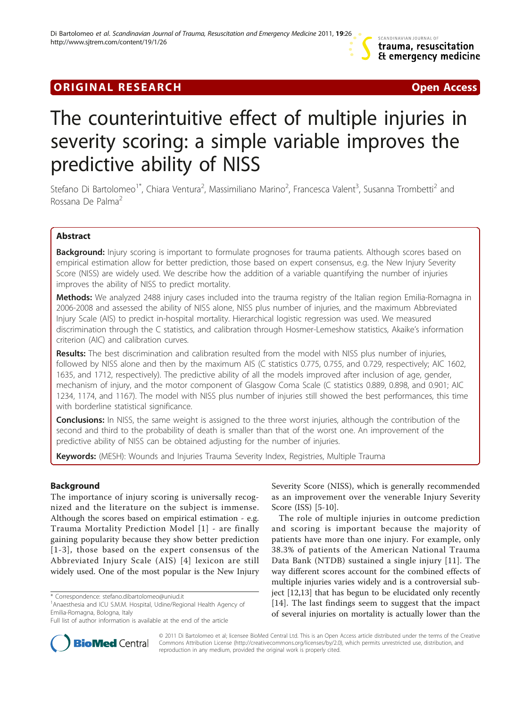# **ORIGINAL RESEARCH CONFIDENTIAL CONFIDENTIAL CONFIDENTIAL CONFIDENTIAL CONFIDENTIAL CONFIDENTIAL CONFIDENTIAL CONFIDENTIAL CONFIDENTIAL CONFIDENTIAL CONFIDENTIAL CONFIDENTIAL CONFIDENTIAL CONFIDENTIAL CONFIDENTIAL CONFIDEN**



# The counterintuitive effect of multiple injuries in severity scoring: a simple variable improves the predictive ability of NISS

Stefano Di Bartolomeo<sup>1\*</sup>, Chiara Ventura<sup>2</sup>, Massimiliano Marino<sup>2</sup>, Francesca Valent<sup>3</sup>, Susanna Trombetti<sup>2</sup> and Rossana De Palma<sup>2</sup>

# Abstract

**Background:** Injury scoring is important to formulate prognoses for trauma patients. Although scores based on empirical estimation allow for better prediction, those based on expert consensus, e.g. the New Injury Severity Score (NISS) are widely used. We describe how the addition of a variable quantifying the number of injuries improves the ability of NISS to predict mortality.

Methods: We analyzed 2488 injury cases included into the trauma registry of the Italian region Emilia-Romagna in 2006-2008 and assessed the ability of NISS alone, NISS plus number of injuries, and the maximum Abbreviated Injury Scale (AIS) to predict in-hospital mortality. Hierarchical logistic regression was used. We measured discrimination through the C statistics, and calibration through Hosmer-Lemeshow statistics, Akaike's information criterion (AIC) and calibration curves.

Results: The best discrimination and calibration resulted from the model with NISS plus number of injuries, followed by NISS alone and then by the maximum AIS (C statistics 0.775, 0.755, and 0.729, respectively; AIC 1602, 1635, and 1712, respectively). The predictive ability of all the models improved after inclusion of age, gender, mechanism of injury, and the motor component of Glasgow Coma Scale (C statistics 0.889, 0.898, and 0.901; AIC 1234, 1174, and 1167). The model with NISS plus number of injuries still showed the best performances, this time with borderline statistical significance.

**Conclusions:** In NISS, the same weight is assigned to the three worst injuries, although the contribution of the second and third to the probability of death is smaller than that of the worst one. An improvement of the predictive ability of NISS can be obtained adjusting for the number of injuries.

Keywords: (MESH): Wounds and Injuries Trauma Severity Index, Registries, Multiple Trauma

# Background

The importance of injury scoring is universally recognized and the literature on the subject is immense. Although the scores based on empirical estimation - e.g. Trauma Mortality Prediction Model [[1](#page-6-0)] - are finally gaining popularity because they show better prediction [[1-3](#page-6-0)], those based on the expert consensus of the Abbreviated Injury Scale (AIS) [[4](#page-6-0)] lexicon are still widely used. One of the most popular is the New Injury



The role of multiple injuries in outcome prediction and scoring is important because the majority of patients have more than one injury. For example, only 38.3% of patients of the American National Trauma Data Bank (NTDB) sustained a single injury [[11\]](#page-6-0). The way different scores account for the combined effects of multiple injuries varies widely and is a controversial subject [\[12,13](#page-6-0)] that has begun to be elucidated only recently [[14](#page-6-0)]. The last findings seem to suggest that the impact of several injuries on mortality is actually lower than the



© 2011 Di Bartolomeo et al; licensee BioMed Central Ltd. This is an Open Access article distributed under the terms of the Creative Commons Attribution License [\(http://creativecommons.org/licenses/by/2.0](http://creativecommons.org/licenses/by/2.0)), which permits unrestricted use, distribution, and reproduction in any medium, provided the original work is properly cited.

<sup>\*</sup> Correspondence: [stefano.dibartolomeo@uniud.it](mailto:stefano.dibartolomeo@uniud.it)

<sup>&</sup>lt;sup>1</sup> Anaesthesia and ICU S.M.M. Hospital, Udine/Regional Health Agency of Emilia-Romagna, Bologna, Italy

Full list of author information is available at the end of the article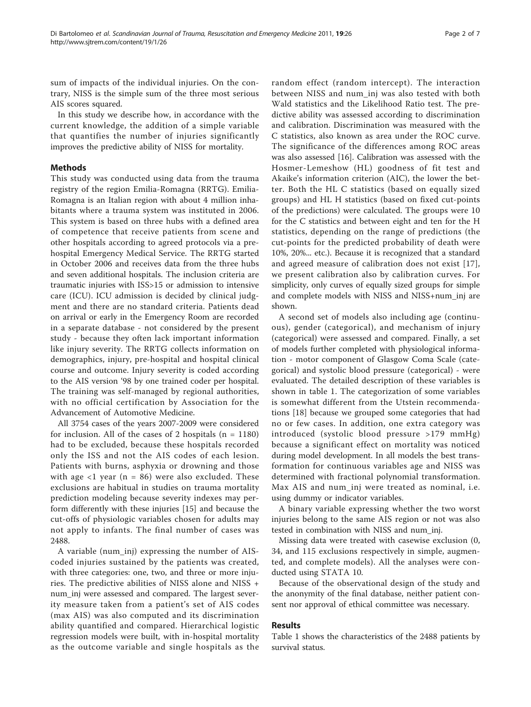sum of impacts of the individual injuries. On the contrary, NISS is the simple sum of the three most serious AIS scores squared.

In this study we describe how, in accordance with the current knowledge, the addition of a simple variable that quantifies the number of injuries significantly improves the predictive ability of NISS for mortality.

# Methods

This study was conducted using data from the trauma registry of the region Emilia-Romagna (RRTG). Emilia-Romagna is an Italian region with about 4 million inhabitants where a trauma system was instituted in 2006. This system is based on three hubs with a defined area of competence that receive patients from scene and other hospitals according to agreed protocols via a prehospital Emergency Medical Service. The RRTG started in October 2006 and receives data from the three hubs and seven additional hospitals. The inclusion criteria are traumatic injuries with ISS>15 or admission to intensive care (ICU). ICU admission is decided by clinical judgment and there are no standard criteria. Patients dead on arrival or early in the Emergency Room are recorded in a separate database - not considered by the present study - because they often lack important information like injury severity. The RRTG collects information on demographics, injury, pre-hospital and hospital clinical course and outcome. Injury severity is coded according to the AIS version '98 by one trained coder per hospital. The training was self-managed by regional authorities, with no official certification by Association for the Advancement of Automotive Medicine.

All 3754 cases of the years 2007-2009 were considered for inclusion. All of the cases of 2 hospitals  $(n = 1180)$ had to be excluded, because these hospitals recorded only the ISS and not the AIS codes of each lesion. Patients with burns, asphyxia or drowning and those with age  $\langle 1 \rangle$  year (n = 86) were also excluded. These exclusions are habitual in studies on trauma mortality prediction modeling because severity indexes may perform differently with these injuries [[15](#page-6-0)] and because the cut-offs of physiologic variables chosen for adults may not apply to infants. The final number of cases was 2488.

A variable (num\_inj) expressing the number of AIScoded injuries sustained by the patients was created, with three categories: one, two, and three or more injuries. The predictive abilities of NISS alone and NISS + num\_inj were assessed and compared. The largest severity measure taken from a patient's set of AIS codes (max AIS) was also computed and its discrimination ability quantified and compared. Hierarchical logistic regression models were built, with in-hospital mortality as the outcome variable and single hospitals as the random effect (random intercept). The interaction between NISS and num\_inj was also tested with both Wald statistics and the Likelihood Ratio test. The predictive ability was assessed according to discrimination and calibration. Discrimination was measured with the C statistics, also known as area under the ROC curve. The significance of the differences among ROC areas was also assessed [\[16\]](#page-6-0). Calibration was assessed with the Hosmer-Lemeshow (HL) goodness of fit test and Akaike's information criterion (AIC), the lower the better. Both the HL C statistics (based on equally sized groups) and HL H statistics (based on fixed cut-points of the predictions) were calculated. The groups were 10 for the C statistics and between eight and ten for the H statistics, depending on the range of predictions (the cut-points for the predicted probability of death were 10%, 20%... etc.). Because it is recognized that a standard and agreed measure of calibration does not exist [[17](#page-6-0)], we present calibration also by calibration curves. For simplicity, only curves of equally sized groups for simple and complete models with NISS and NISS+num\_inj are shown.

A second set of models also including age (continuous), gender (categorical), and mechanism of injury (categorical) were assessed and compared. Finally, a set of models further completed with physiological information - motor component of Glasgow Coma Scale (categorical) and systolic blood pressure (categorical) - were evaluated. The detailed description of these variables is shown in table [1.](#page-2-0) The categorization of some variables is somewhat different from the Utstein recommendations [\[18](#page-6-0)] because we grouped some categories that had no or few cases. In addition, one extra category was introduced (systolic blood pressure >179 mmHg) because a significant effect on mortality was noticed during model development. In all models the best transformation for continuous variables age and NISS was determined with fractional polynomial transformation. Max AIS and num\_inj were treated as nominal, i.e. using dummy or indicator variables.

A binary variable expressing whether the two worst injuries belong to the same AIS region or not was also tested in combination with NISS and num\_inj.

Missing data were treated with casewise exclusion (0, 34, and 115 exclusions respectively in simple, augmented, and complete models). All the analyses were conducted using STATA 10.

Because of the observational design of the study and the anonymity of the final database, neither patient consent nor approval of ethical committee was necessary.

#### Results

Table [1](#page-2-0) shows the characteristics of the 2488 patients by survival status.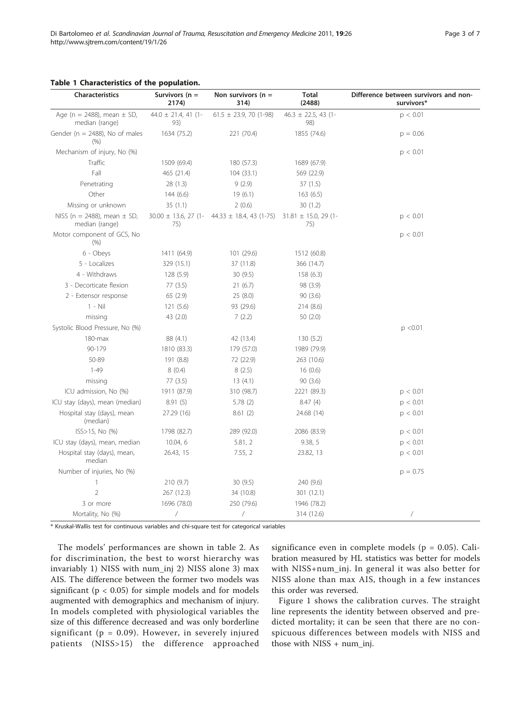#### <span id="page-2-0"></span>Table 1 Characteristics of the population.

| <b>Characteristics</b>                            | Survivors (n =<br>2174)        | Non survivors ( $n =$<br>314)                                                 | Total<br>(2488)                 | Difference between survivors and non-<br>survivors* |
|---------------------------------------------------|--------------------------------|-------------------------------------------------------------------------------|---------------------------------|-----------------------------------------------------|
| Age (n = 2488), mean $\pm$ SD,<br>median (range)  | 44.0 $\pm$ 21.4, 41 (1-<br>93) | $61.5 \pm 23.9, 70$ (1-98)                                                    | $46.3 \pm 22.5$ , 43 (1-<br>98) | p < 0.01                                            |
| Gender ( $n = 2488$ ), No of males<br>(%)         | 1634 (75.2)                    | 221 (70.4)                                                                    | 1855 (74.6)                     | $p = 0.06$                                          |
| Mechanism of injury, No (%)                       |                                |                                                                               |                                 | p < 0.01                                            |
| Traffic                                           | 1509 (69.4)                    | 180 (57.3)                                                                    | 1689 (67.9)                     |                                                     |
| Fall                                              | 465 (21.4)                     | 104(33.1)                                                                     | 569 (22.9)                      |                                                     |
| Penetrating                                       | 28(1.3)                        | 9(2.9)                                                                        | 37 (1.5)                        |                                                     |
| Other                                             | 144 (6.6)                      | 19(6.1)                                                                       | 163(6.5)                        |                                                     |
| Missing or unknown                                | 35(1.1)                        | 2(0.6)                                                                        | 30(1.2)                         |                                                     |
| NISS (n = 2488), mean $\pm$ SD,<br>median (range) | 75)                            | $30.00 \pm 13.6$ , 27 (1-44.33 $\pm$ 18.4, 43 (1-75) 31.81 $\pm$ 15.0, 29 (1- | 75)                             | p < 0.01                                            |
| Motor component of GCS, No<br>(% )                |                                |                                                                               |                                 | p < 0.01                                            |
| 6 - Obeys                                         | 1411 (64.9)                    | 101 (29.6)                                                                    | 1512 (60.8)                     |                                                     |
| 5 - Localizes                                     | 329 (15.1)                     | 37 (11.8)                                                                     | 366 (14.7)                      |                                                     |
| 4 - Withdraws                                     | 128(5.9)                       | 30(9.5)                                                                       | 158(6.3)                        |                                                     |
| 3 - Decorticate flexion                           | 77 (3.5)                       | 21(6.7)                                                                       | 98 (3.9)                        |                                                     |
| 2 - Extensor response                             | 65(2.9)                        | 25(8.0)                                                                       | 90(3.6)                         |                                                     |
| $1 - Nil$                                         | 121(5.6)                       | 93 (29.6)                                                                     | 214 (8.6)                       |                                                     |
| missing                                           | 43 (2.0)                       | 7(2.2)                                                                        | 50(2.0)                         |                                                     |
| Systolic Blood Pressure, No (%)                   |                                |                                                                               |                                 | p < 0.01                                            |
| $180$ -max                                        | 88 (4.1)                       | 42 (13.4)                                                                     | 130(5.2)                        |                                                     |
| 90-179                                            | 1810 (83.3)                    | 179 (57.0)                                                                    | 1989 (79.9)                     |                                                     |
| 50-89                                             | 191 (8.8)                      | 72 (22.9)                                                                     | 263 (10.6)                      |                                                     |
| $1 - 49$                                          | 8(0.4)                         | 8(2.5)                                                                        | 16(0.6)                         |                                                     |
| missing                                           | 77 (3.5)                       | 13(4.1)                                                                       | 90(3.6)                         |                                                     |
| ICU admission, No (%)                             | 1911 (87.9)                    | 310 (98.7)                                                                    | 2221 (89.3)                     | p < 0.01                                            |
| ICU stay (days), mean (median)                    | 8.91(5)                        | 5.78(2)                                                                       | 8.47(4)                         | p < 0.01                                            |
| Hospital stay (days), mean<br>(median)            | 27.29 (16)                     | 8.61(2)                                                                       | 24.68 (14)                      | p < 0.01                                            |
| ISS>15, No (%)                                    | 1798 (82.7)                    | 289 (92.0)                                                                    | 2086 (83.9)                     | p < 0.01                                            |
| ICU stay (days), mean, median                     | 10.04, 6                       | 5.81, 2                                                                       | 9.38, 5                         | p < 0.01                                            |
| Hospital stay (days), mean,<br>median             | 26.43, 15                      | 7.55, 2                                                                       | 23.82, 13                       | p < 0.01                                            |
| Number of injuries, No (%)                        |                                |                                                                               |                                 | $p = 0.75$                                          |
| 1                                                 | 210(9.7)                       | 30(9.5)                                                                       | 240 (9.6)                       |                                                     |
| $\overline{2}$                                    | 267 (12.3)                     | 34 (10.8)                                                                     | 301 (12.1)                      |                                                     |
| 3 or more                                         | 1696 (78.0)                    | 250 (79.6)                                                                    | 1946 (78.2)                     |                                                     |
| Mortality, No (%)                                 | Τ                              | /                                                                             | 314 (12.6)                      |                                                     |

\* Kruskal-Wallis test for continuous variables and chi-square test for categorical variables

The models' performances are shown in table [2.](#page-3-0) As for discrimination, the best to worst hierarchy was invariably 1) NISS with num\_inj 2) NISS alone 3) max AIS. The difference between the former two models was significant ( $p < 0.05$ ) for simple models and for models augmented with demographics and mechanism of injury. In models completed with physiological variables the size of this difference decreased and was only borderline significant ( $p = 0.09$ ). However, in severely injured patients (NISS>15) the difference approached

significance even in complete models ( $p = 0.05$ ). Calibration measured by HL statistics was better for models with NISS+num\_inj. In general it was also better for NISS alone than max AIS, though in a few instances this order was reversed.

Figure [1](#page-3-0) shows the calibration curves. The straight line represents the identity between observed and predicted mortality; it can be seen that there are no conspicuous differences between models with NISS and those with NISS + num\_inj.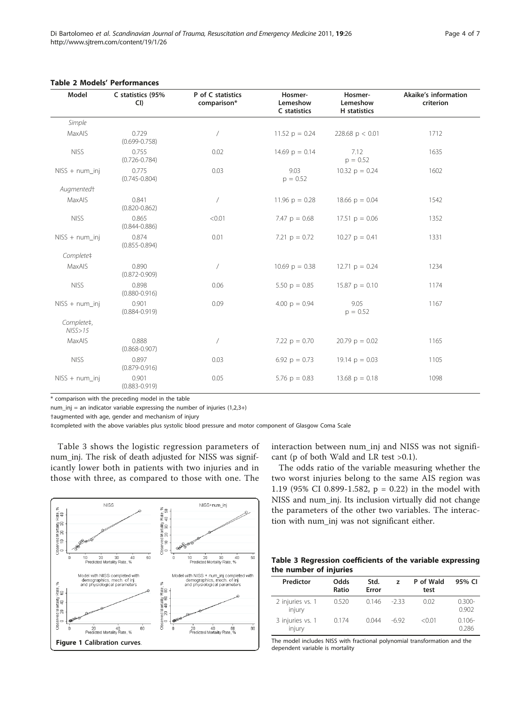| Model                  | C statistics (95%<br>CI    | P of C statistics<br>comparison* | Hosmer-<br>Lemeshow<br>C statistics | Hosmer-<br>Lemeshow<br>H statistics | <b>Akaike's information</b><br>criterion |
|------------------------|----------------------------|----------------------------------|-------------------------------------|-------------------------------------|------------------------------------------|
| Simple                 |                            |                                  |                                     |                                     |                                          |
| MaxAIS                 | 0.729<br>$(0.699 - 0.758)$ |                                  | 11.52 $p = 0.24$                    | 228.68 $p < 0.01$                   | 1712                                     |
| <b>NISS</b>            | 0.755<br>$(0.726 - 0.784)$ | 0.02                             | 14.69 $p = 0.14$                    | 7.12<br>$p = 0.52$                  | 1635                                     |
| $NISS + num_inj$       | 0.775<br>$(0.745 - 0.804)$ | 0.03                             | 9.03<br>$p = 0.52$                  | 10.32 $p = 0.24$                    | 1602                                     |
| Augmented <sup>+</sup> |                            |                                  |                                     |                                     |                                          |
| MaxAIS                 | 0.841<br>$(0.820 - 0.862)$ | $\overline{1}$                   | 11.96 $p = 0.28$                    | 18.66 $p = 0.04$                    | 1542                                     |
| <b>NISS</b>            | 0.865<br>$(0.844 - 0.886)$ | < 0.01                           | 7.47 $p = 0.68$                     | $17.51 \text{ p} = 0.06$            | 1352                                     |
| $NISS + num_inj$       | 0.874<br>$(0.855 - 0.894)$ | 0.01                             | 7.21 $p = 0.72$                     | $10.27$ p = 0.41                    | 1331                                     |
| Complete‡              |                            |                                  |                                     |                                     |                                          |
| MaxAIS                 | 0.890<br>$(0.872 - 0.909)$ | $\overline{1}$                   | $10.69$ p = 0.38                    | $12.71 p = 0.24$                    | 1234                                     |
| <b>NISS</b>            | 0.898<br>$(0.880 - 0.916)$ | 0.06                             | 5.50 $p = 0.85$                     | $15.87 p = 0.10$                    | 1174                                     |
| $NISS + num_inj$       | 0.901<br>$(0.884 - 0.919)$ | 0.09                             | 4.00 $p = 0.94$                     | 9.05<br>$p = 0.52$                  | 1167                                     |
| Complete‡,<br>NISS>15  |                            |                                  |                                     |                                     |                                          |
| MaxAIS                 | 0.888<br>$(0.868 - 0.907)$ |                                  | 7.22 $p = 0.70$                     | $20.79$ p = 0.02                    | 1165                                     |
| <b>NISS</b>            | 0.897<br>$(0.879 - 0.916)$ | 0.03                             | 6.92 $p = 0.73$                     | $19.14 \text{ p} = 0.03$            | 1105                                     |
| $NISS + num_inj$       | 0.901<br>$(0.883 - 0.919)$ | 0.05                             | 5.76 $p = 0.83$                     | $13.68 \text{ p} = 0.18$            | 1098                                     |

#### <span id="page-3-0"></span>Table 2 Models' Performances

\* comparison with the preceding model in the table

num\_inj = an indicator variable expressing the number of injuries  $(1,2,3+)$ 

†augmented with age, gender and mechanism of injury

‡completed with the above variables plus systolic blood pressure and motor component of Glasgow Coma Scale

Table 3 shows the logistic regression parameters of num inj. The risk of death adjusted for NISS was significantly lower both in patients with two injuries and in those with three, as compared to those with one. The



interaction between num\_inj and NISS was not significant (p of both Wald and LR test >0.1).

The odds ratio of the variable measuring whether the two worst injuries belong to the same AIS region was 1.19 (95% CI 0.899-1.582, p = 0.22) in the model with NISS and num\_inj. Its inclusion virtually did not change the parameters of the other two variables. The interaction with num\_inj was not significant either.

# Table 3 Regression coefficients of the variable expressing the number of injuries

| Predictor                  | Odds<br>Ratio | Std.<br>Error | 7      | P of Wald<br>test | 95% CI             |
|----------------------------|---------------|---------------|--------|-------------------|--------------------|
| 2 injuries vs. 1<br>injury | 0.520         | 0.146         | $-233$ | 0.02              | $0.300 -$<br>0.902 |
| 3 injuries vs. 1<br>injury | 0.174         | 0.044         | $-692$ | < 0.01            | $0.106 -$<br>0.286 |

The model includes NISS with fractional polynomial transformation and the dependent variable is mortality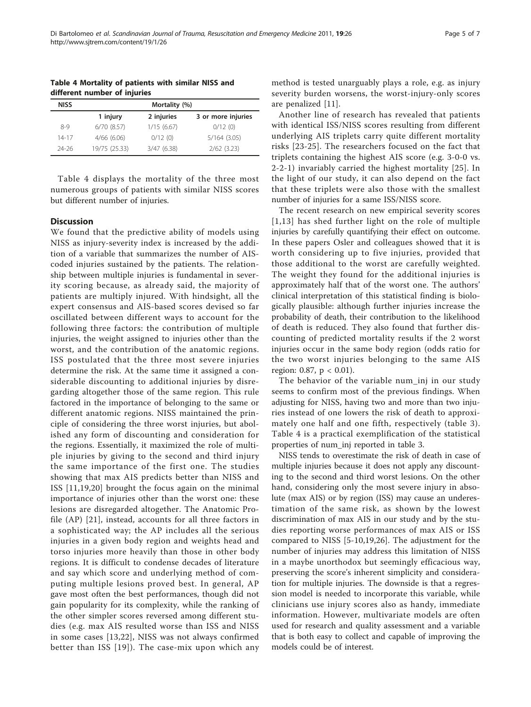| <b>NISS</b> | Mortality (%) |            |                    |  |
|-------------|---------------|------------|--------------------|--|
|             | 1 injury      | 2 injuries | 3 or more injuries |  |
| $8-9$       | 6/70(8.57)    | 1/15(6.67) | 0/12(0)            |  |
| 14-17       | 4/66(6.06)    | 0/12(0)    | $5/164$ (3.05)     |  |

24-26 19/75 (25.33) 3/47 (6.38) 2/62 (3.23)

Table 4 Mortality of patients with similar NISS and different number of injuries

Table 4 displays the mortality of the three most numerous groups of patients with similar NISS scores but different number of injuries.

#### **Discussion**

We found that the predictive ability of models using NISS as injury-severity index is increased by the addition of a variable that summarizes the number of AIScoded injuries sustained by the patients. The relationship between multiple injuries is fundamental in severity scoring because, as already said, the majority of patients are multiply injured. With hindsight, all the expert consensus and AIS-based scores devised so far oscillated between different ways to account for the following three factors: the contribution of multiple injuries, the weight assigned to injuries other than the worst, and the contribution of the anatomic regions. ISS postulated that the three most severe injuries determine the risk. At the same time it assigned a considerable discounting to additional injuries by disregarding altogether those of the same region. This rule factored in the importance of belonging to the same or different anatomic regions. NISS maintained the principle of considering the three worst injuries, but abolished any form of discounting and consideration for the regions. Essentially, it maximized the role of multiple injuries by giving to the second and third injury the same importance of the first one. The studies showing that max AIS predicts better than NISS and ISS [\[11](#page-6-0),[19,20](#page-6-0)] brought the focus again on the minimal importance of injuries other than the worst one: these lesions are disregarded altogether. The Anatomic Profile (AP) [[21\]](#page-6-0), instead, accounts for all three factors in a sophisticated way; the AP includes all the serious injuries in a given body region and weights head and torso injuries more heavily than those in other body regions. It is difficult to condense decades of literature and say which score and underlying method of computing multiple lesions proved best. In general, AP gave most often the best performances, though did not gain popularity for its complexity, while the ranking of the other simpler scores reversed among different studies (e.g. max AIS resulted worse than ISS and NISS in some cases [[13,22](#page-6-0)], NISS was not always confirmed better than ISS [[19](#page-6-0)]). The case-mix upon which any method is tested unarguably plays a role, e.g. as injury severity burden worsens, the worst-injury-only scores are penalized [[11\]](#page-6-0).

Another line of research has revealed that patients with identical ISS/NISS scores resulting from different underlying AIS triplets carry quite different mortality risks [[23](#page-6-0)-[25](#page-6-0)]. The researchers focused on the fact that triplets containing the highest AIS score (e.g. 3-0-0 vs. 2-2-1) invariably carried the highest mortality [[25](#page-6-0)]. In the light of our study, it can also depend on the fact that these triplets were also those with the smallest number of injuries for a same ISS/NISS score.

The recent research on new empirical severity scores [[1,13\]](#page-6-0) has shed further light on the role of multiple injuries by carefully quantifying their effect on outcome. In these papers Osler and colleagues showed that it is worth considering up to five injuries, provided that those additional to the worst are carefully weighted. The weight they found for the additional injuries is approximately half that of the worst one. The authors' clinical interpretation of this statistical finding is biologically plausible: although further injuries increase the probability of death, their contribution to the likelihood of death is reduced. They also found that further discounting of predicted mortality results if the 2 worst injuries occur in the same body region (odds ratio for the two worst injuries belonging to the same AIS region: 0.87,  $p < 0.01$ ).

The behavior of the variable num\_inj in our study seems to confirm most of the previous findings. When adjusting for NISS, having two and more than two injuries instead of one lowers the risk of death to approximately one half and one fifth, respectively (table [3\)](#page-3-0). Table 4 is a practical exemplification of the statistical properties of num\_inj reported in table [3](#page-3-0).

NISS tends to overestimate the risk of death in case of multiple injuries because it does not apply any discounting to the second and third worst lesions. On the other hand, considering only the most severe injury in absolute (max AIS) or by region (ISS) may cause an underestimation of the same risk, as shown by the lowest discrimination of max AIS in our study and by the studies reporting worse performances of max AIS or ISS compared to NISS [[5-10](#page-6-0),[19,26\]](#page-6-0). The adjustment for the number of injuries may address this limitation of NISS in a maybe unorthodox but seemingly efficacious way, preserving the score's inherent simplicity and consideration for multiple injuries. The downside is that a regression model is needed to incorporate this variable, while clinicians use injury scores also as handy, immediate information. However, multivariate models are often used for research and quality assessment and a variable that is both easy to collect and capable of improving the models could be of interest.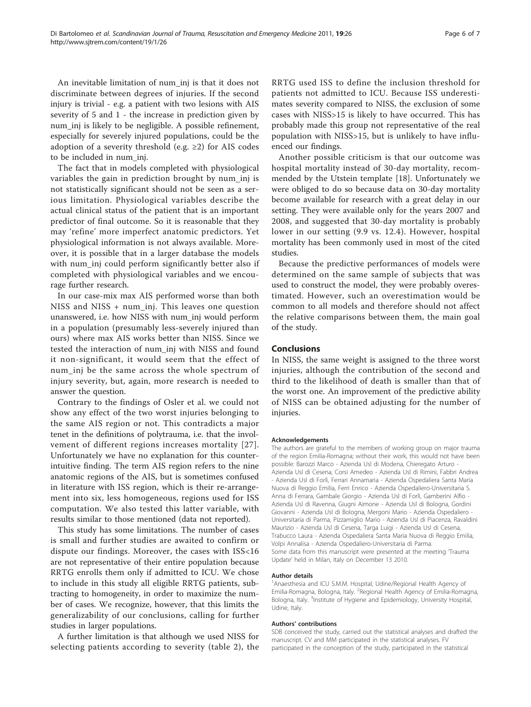An inevitable limitation of num\_inj is that it does not discriminate between degrees of injuries. If the second injury is trivial - e.g. a patient with two lesions with AIS severity of 5 and 1 - the increase in prediction given by num\_inj is likely to be negligible. A possible refinement, especially for severely injured populations, could be the adoption of a severity threshold (e.g.  $\geq$ 2) for AIS codes to be included in num\_inj.

The fact that in models completed with physiological variables the gain in prediction brought by num\_inj is not statistically significant should not be seen as a serious limitation. Physiological variables describe the actual clinical status of the patient that is an important predictor of final outcome. So it is reasonable that they may 'refine' more imperfect anatomic predictors. Yet physiological information is not always available. Moreover, it is possible that in a larger database the models with num\_inj could perform significantly better also if completed with physiological variables and we encourage further research.

In our case-mix max AIS performed worse than both NISS and NISS + num\_inj. This leaves one question unanswered, i.e. how NISS with num\_inj would perform in a population (presumably less-severely injured than ours) where max AIS works better than NISS. Since we tested the interaction of num\_inj with NISS and found it non-significant, it would seem that the effect of num\_inj be the same across the whole spectrum of injury severity, but, again, more research is needed to answer the question.

Contrary to the findings of Osler et al. we could not show any effect of the two worst injuries belonging to the same AIS region or not. This contradicts a major tenet in the definitions of polytrauma, i.e. that the involvement of different regions increases mortality [[27\]](#page-6-0). Unfortunately we have no explanation for this counterintuitive finding. The term AIS region refers to the nine anatomic regions of the AIS, but is sometimes confused in literature with ISS region, which is their re-arrangement into six, less homogeneous, regions used for ISS computation. We also tested this latter variable, with results similar to those mentioned (data not reported).

This study has some limitations. The number of cases is small and further studies are awaited to confirm or dispute our findings. Moreover, the cases with ISS<16 are not representative of their entire population because RRTG enrolls them only if admitted to ICU. We chose to include in this study all eligible RRTG patients, subtracting to homogeneity, in order to maximize the number of cases. We recognize, however, that this limits the generalizability of our conclusions, calling for further studies in larger populations.

A further limitation is that although we used NISS for selecting patients according to severity (table [2](#page-3-0)), the RRTG used ISS to define the inclusion threshold for patients not admitted to ICU. Because ISS underestimates severity compared to NISS, the exclusion of some cases with NISS>15 is likely to have occurred. This has probably made this group not representative of the real population with NISS>15, but is unlikely to have influenced our findings.

Another possible criticism is that our outcome was hospital mortality instead of 30-day mortality, recommended by the Utstein template [\[18](#page-6-0)]. Unfortunately we were obliged to do so because data on 30-day mortality become available for research with a great delay in our setting. They were available only for the years 2007 and 2008, and suggested that 30-day mortality is probably lower in our setting (9.9 vs. 12.4). However, hospital mortality has been commonly used in most of the cited studies.

Because the predictive performances of models were determined on the same sample of subjects that was used to construct the model, they were probably overestimated. However, such an overestimation would be common to all models and therefore should not affect the relative comparisons between them, the main goal of the study.

## Conclusions

In NISS, the same weight is assigned to the three worst injuries, although the contribution of the second and third to the likelihood of death is smaller than that of the worst one. An improvement of the predictive ability of NISS can be obtained adjusting for the number of injuries.

#### Acknowledgements

The authors are grateful to the members of working group on major trauma of the region Emilia-Romagna; without their work, this would not have been possible: Barozzi Marco - Azienda Usl di Modena, Chieregato Arturo - Azienda Usl di Cesena, Corsi Amedeo - Azienda Usl di Rimini, Fabbri Andrea - Azienda Usl di Forlì, Ferrari Annamaria - Azienda Ospedaliera Santa Maria Nuova di Reggio Emilia, Ferri Enrico - Azienda Ospedaliero-Universitaria S. Anna di Ferrara, Gambale Giorgio - Azienda Usl di Forlì, Gamberini Alfio - Azienda Usl di Ravenna, Giugni Aimone - Azienda Usl di Bologna, Gordini Giovanni - Azienda Usl di Bologna, Mergoni Mario - Azienda Ospedaliero - Universitaria di Parma, Pizzamiglio Mario - Azienda Usl di Piacenza, Ravaldini Maurizio - Azienda Usl di Cesena, Targa Luigi - Azienda Usl di Cesena, Trabucco Laura - Azienda Ospedaliera Santa Maria Nuova di Reggio Emilia, Volpi Annalisa - Azienda Ospedaliero-Universitaria di Parma. Some data from this manuscript were presented at the meeting 'Trauma Update' held in Milan, Italy on December 13 2010.

#### Author details

<sup>1</sup> Anaesthesia and ICU S.M.M. Hospital, Udine/Regional Health Agency of Emilia-Romagna, Bologna, Italy. <sup>2</sup> Regional Health Agency of Emilia-Romagna, Bologna, Italy. <sup>3</sup>Institute of Hygiene and Epidemiology, University Hospital Udine, Italy.

#### Authors' contributions

SDB conceived the study, carried out the statistical analyses and drafted the manuscript. CV and MM participated in the statistical analyses. FV participated in the conception of the study, participated in the statistical